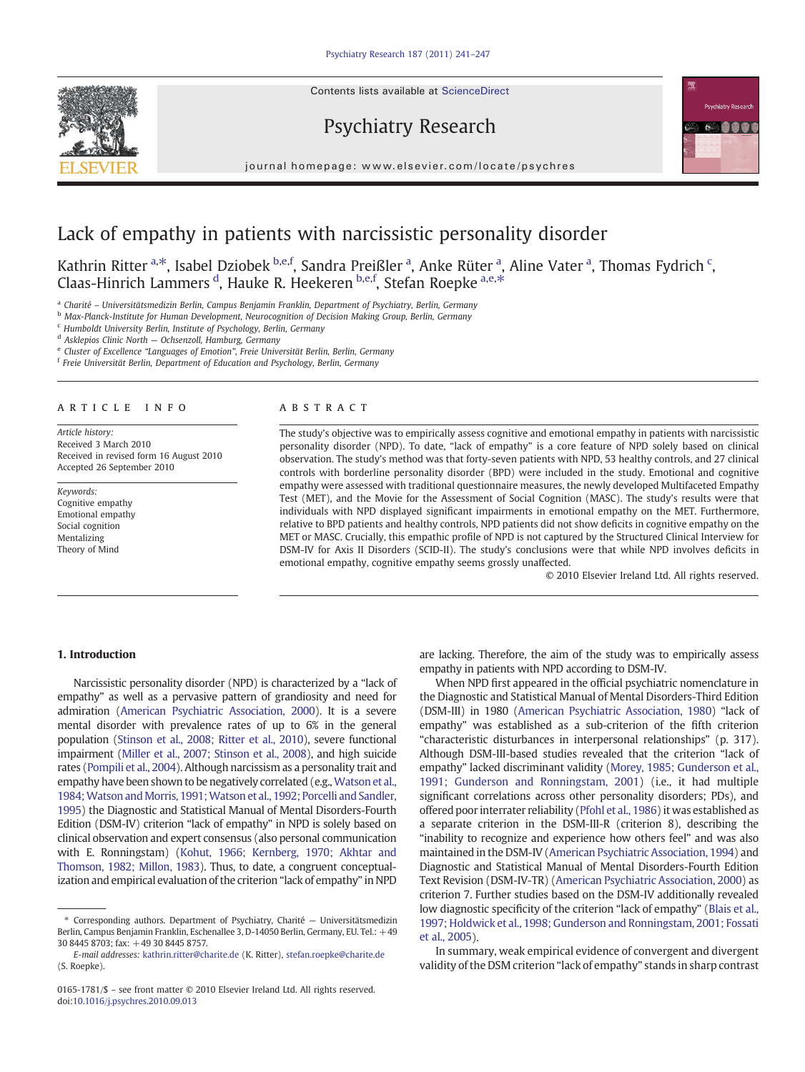Contents lists available at ScienceDirect









# Lack of empathy in patients with narcissistic personality disorder

Kathrin Ritter <sup>a,\*</sup>, Isabel Dziobek <sup>b,e,f</sup>, Sandra Preißler <sup>a</sup>, Anke Rüter <sup>a</sup>, Aline Vater <sup>a</sup>, Thomas Fydrich <sup>c</sup>, Claas-Hinrich Lammers <sup>d</sup>, Hauke R. Heekeren <sup>b,e,f</sup>, Stefan Roepke <sup>a,e,\*</sup>

<sup>a</sup> Charité – Universitätsmedizin Berlin, Campus Benjamin Franklin, Department of Psychiatry, Berlin, Germany

<sup>b</sup> Max-Planck-Institute for Human Development, Neurocognition of Decision Making Group, Berlin, Germany

<sup>c</sup> Humboldt University Berlin, Institute of Psychology, Berlin, Germany

 $d$  Asklepios Clinic North  $-$  Ochsenzoll, Hamburg, Germany

e Cluster of Excellence "Languages of Emotion", Freie Universität Berlin, Berlin, Germany

<sup>f</sup> Freie Universität Berlin, Department of Education and Psychology, Berlin, Germany

#### article info abstract

Article history: Received 3 March 2010 Received in revised form 16 August 2010 Accepted 26 September 2010

Keywords: Cognitive empathy Emotional empathy Social cognition Mentalizing Theory of Mind

The study's objective was to empirically assess cognitive and emotional empathy in patients with narcissistic personality disorder (NPD). To date, "lack of empathy" is a core feature of NPD solely based on clinical observation. The study's method was that forty-seven patients with NPD, 53 healthy controls, and 27 clinical controls with borderline personality disorder (BPD) were included in the study. Emotional and cognitive empathy were assessed with traditional questionnaire measures, the newly developed Multifaceted Empathy Test (MET), and the Movie for the Assessment of Social Cognition (MASC). The study's results were that individuals with NPD displayed significant impairments in emotional empathy on the MET. Furthermore, relative to BPD patients and healthy controls, NPD patients did not show deficits in cognitive empathy on the MET or MASC. Crucially, this empathic profile of NPD is not captured by the Structured Clinical Interview for DSM-IV for Axis II Disorders (SCID-II). The study's conclusions were that while NPD involves deficits in emotional empathy, cognitive empathy seems grossly unaffected.

© 2010 Elsevier Ireland Ltd. All rights reserved.

# 1. Introduction

Narcissistic personality disorder (NPD) is characterized by a "lack of empathy" as well as a pervasive pattern of grandiosity and need for admiration [\(American Psychiatric Association, 2000](#page-5-0)). It is a severe mental disorder with prevalence rates of up to 6% in the general population [\(Stinson et al., 2008; Ritter et al., 2010](#page-6-0)), severe functional impairment [\(Miller et al., 2007; Stinson et al., 2008\)](#page-6-0), and high suicide rates ([Pompili et al., 2004](#page-6-0)). Although narcissism as a personality trait and empathy have been shown to be negatively correlated (e.g., [Watson et al.,](#page-6-0) 1984; Watson and Morris, 1991; Watson et al., 1992; Porcelli and Sandler, [1995](#page-6-0)) the Diagnostic and Statistical Manual of Mental Disorders-Fourth Edition (DSM-IV) criterion "lack of empathy" in NPD is solely based on clinical observation and expert consensus (also personal communication with E. Ronningstam) [\(Kohut, 1966; Kernberg, 1970; Akhtar and](#page-6-0) [Thomson, 1982; Millon, 1983\)](#page-6-0). Thus, to date, a congruent conceptualization and empirical evaluation of the criterion "lack of empathy" in NPD are lacking. Therefore, the aim of the study was to empirically assess empathy in patients with NPD according to DSM-IV.

When NPD first appeared in the official psychiatric nomenclature in the Diagnostic and Statistical Manual of Mental Disorders-Third Edition (DSM-III) in 1980 [\(American Psychiatric Association, 1980\)](#page-5-0) "lack of empathy" was established as a sub-criterion of the fifth criterion "characteristic disturbances in interpersonal relationships" (p. 317). Although DSM-III-based studies revealed that the criterion "lack of empathy" lacked discriminant validity ([Morey, 1985; Gunderson et al.,](#page-6-0) [1991; Gunderson and Ronningstam, 2001](#page-6-0)) (i.e., it had multiple significant correlations across other personality disorders; PDs), and offered poor interrater reliability [\(Pfohl et al., 1986](#page-6-0)) it was established as a separate criterion in the DSM-III-R (criterion 8), describing the "inability to recognize and experience how others feel" and was also maintained in the DSM-IV [\(American Psychiatric Association, 1994](#page-5-0)) and Diagnostic and Statistical Manual of Mental Disorders-Fourth Edition Text Revision (DSM-IV-TR) [\(American Psychiatric Association, 2000\)](#page-5-0) as criterion 7. Further studies based on the DSM-IV additionally revealed low diagnostic specificity of the criterion "lack of empathy" ([Blais et al.,](#page-5-0) [1997; Holdwick et al., 1998; Gunderson and Ronningstam, 2001; Fossati](#page-5-0) [et al., 2005](#page-5-0)).

In summary, weak empirical evidence of convergent and divergent validity of the DSM criterion "lack of empathy" stands in sharp contrast

<sup>⁎</sup> Corresponding authors. Department of Psychiatry, Charité — Universitätsmedizin Berlin, Campus Benjamin Franklin, Eschenallee 3, D-14050 Berlin, Germany, EU. Tel.: +49 30 8445 8703; fax: +49 30 8445 8757.

E-mail addresses: [kathrin.ritter@charite.de](mailto:kathrin.ritter@charite.de) (K. Ritter), [stefan.roepke@charite.de](mailto:stefan.roepke@charite.de) (S. Roepke).

<sup>0165-1781/\$</sup> – see front matter © 2010 Elsevier Ireland Ltd. All rights reserved. doi:[10.1016/j.psychres.2010.09.013](http://dx.doi.org/10.1016/j.psychres.2010.09.013)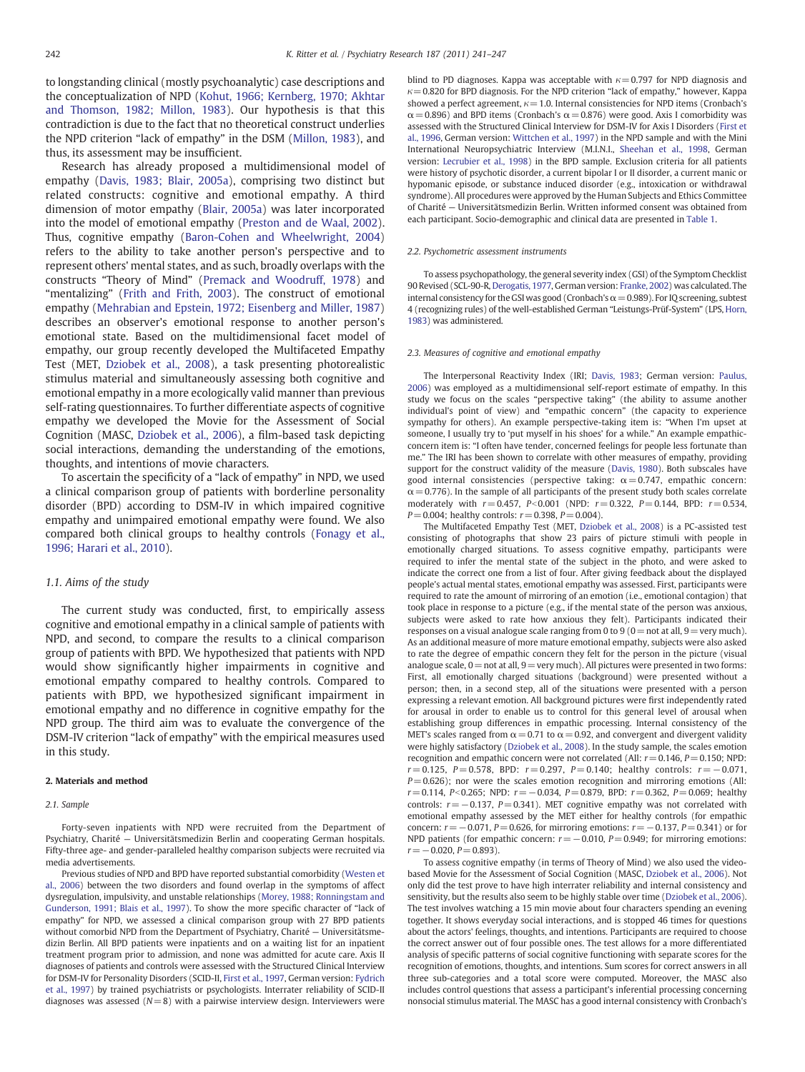to longstanding clinical (mostly psychoanalytic) case descriptions and the conceptualization of NPD ([Kohut, 1966; Kernberg, 1970; Akhtar](#page-6-0) [and Thomson, 1982; Millon, 1983\)](#page-6-0). Our hypothesis is that this contradiction is due to the fact that no theoretical construct underlies the NPD criterion "lack of empathy" in the DSM ([Millon, 1983](#page-6-0)), and thus, its assessment may be insufficient.

Research has already proposed a multidimensional model of empathy ([Davis, 1983; Blair, 2005a](#page-5-0)), comprising two distinct but related constructs: cognitive and emotional empathy. A third dimension of motor empathy ([Blair, 2005a\)](#page-5-0) was later incorporated into the model of emotional empathy [\(Preston and de Waal, 2002](#page-6-0)). Thus, cognitive empathy [\(Baron-Cohen and Wheelwright, 2004](#page-5-0)) refers to the ability to take another person's perspective and to represent others' mental states, and as such, broadly overlaps with the constructs "Theory of Mind" [\(Premack and Woodruff, 1978](#page-6-0)) and "mentalizing" [\(Frith and Frith, 2003\)](#page-5-0). The construct of emotional empathy ([Mehrabian and Epstein, 1972; Eisenberg and Miller, 1987](#page-6-0)) describes an observer's emotional response to another person's emotional state. Based on the multidimensional facet model of empathy, our group recently developed the Multifaceted Empathy Test (MET, [Dziobek et al., 2008](#page-5-0)), a task presenting photorealistic stimulus material and simultaneously assessing both cognitive and emotional empathy in a more ecologically valid manner than previous self-rating questionnaires. To further differentiate aspects of cognitive empathy we developed the Movie for the Assessment of Social Cognition (MASC, [Dziobek et al., 2006\)](#page-5-0), a film-based task depicting social interactions, demanding the understanding of the emotions, thoughts, and intentions of movie characters.

To ascertain the specificity of a "lack of empathy" in NPD, we used a clinical comparison group of patients with borderline personality disorder (BPD) according to DSM-IV in which impaired cognitive empathy and unimpaired emotional empathy were found. We also compared both clinical groups to healthy controls ([Fonagy et al.,](#page-5-0) [1996; Harari et al., 2010](#page-5-0)).

# 1.1. Aims of the study

The current study was conducted, first, to empirically assess cognitive and emotional empathy in a clinical sample of patients with NPD, and second, to compare the results to a clinical comparison group of patients with BPD. We hypothesized that patients with NPD would show significantly higher impairments in cognitive and emotional empathy compared to healthy controls. Compared to patients with BPD, we hypothesized significant impairment in emotional empathy and no difference in cognitive empathy for the NPD group. The third aim was to evaluate the convergence of the DSM-IV criterion "lack of empathy" with the empirical measures used in this study.

#### 2. Materials and method

#### 2.1. Sample

Forty-seven inpatients with NPD were recruited from the Department of Psychiatry, Charité — Universitätsmedizin Berlin and cooperating German hospitals. Fifty-three age- and gender-paralleled healthy comparison subjects were recruited via media advertisements.

Previous studies of NPD and BPD have reported substantial comorbidity ([Westen et](#page-6-0) [al., 2006](#page-6-0)) between the two disorders and found overlap in the symptoms of affect dysregulation, impulsivity, and unstable relationships [\(Morey, 1988; Ronningstam and](#page-6-0) [Gunderson, 1991; Blais et al., 1997](#page-6-0)). To show the more specific character of "lack of empathy" for NPD, we assessed a clinical comparison group with 27 BPD patients without comorbid NPD from the Department of Psychiatry, Charité — Universitätsmedizin Berlin. All BPD patients were inpatients and on a waiting list for an inpatient treatment program prior to admission, and none was admitted for acute care. Axis II diagnoses of patients and controls were assessed with the Structured Clinical Interview for DSM-IV for Personality Disorders (SCID-II, [First et al., 1997,](#page-5-0) German version: [Fydrich](#page-5-0) [et al., 1997\)](#page-5-0) by trained psychiatrists or psychologists. Interrater reliability of SCID-II diagnoses was assessed ( $N=8$ ) with a pairwise interview design. Interviewers were blind to PD diagnoses. Kappa was acceptable with  $\kappa = 0.797$  for NPD diagnosis and  $\kappa$  = 0.820 for BPD diagnosis. For the NPD criterion "lack of empathy," however, Kappa showed a perfect agreement,  $\kappa = 1.0$ . Internal consistencies for NPD items (Cronbach's  $\alpha$  = 0.896) and BPD items (Cronbach's  $\alpha$  = 0.876) were good. Axis I comorbidity was assessed with the Structured Clinical Interview for DSM-IV for Axis I Disorders ([First et](#page-5-0) [al., 1996](#page-5-0), German version: [Wittchen et al., 1997](#page-6-0)) in the NPD sample and with the Mini International Neuropsychiatric Interview (M.I.N.I., [Sheehan et al., 1998,](#page-6-0) German version: [Lecrubier et al., 1998\)](#page-6-0) in the BPD sample. Exclusion criteria for all patients were history of psychotic disorder, a current bipolar I or II disorder, a current manic or hypomanic episode, or substance induced disorder (e.g., intoxication or withdrawal syndrome). All procedures were approved by the Human Subjects and Ethics Committee of Charité — Universitätsmedizin Berlin. Written informed consent was obtained from each participant. Socio-demographic and clinical data are presented in [Table 1](#page-2-0).

#### 2.2. Psychometric assessment instruments

To assess psychopathology, the general severity index (GSI) of the Symptom Checklist 90 Revised (SCL-90-R, [Derogatis, 1977](#page-5-0), German version: [Franke, 2002\)](#page-5-0) was calculated. The internal consistency for the GSI was good (Cronbach's  $\alpha$  = 0.989). For IQ screening, subtest 4 (recognizing rules) of the well-established German "Leistungs-Prüf-System" (LPS, [Horn,](#page-5-0) [1983\)](#page-5-0) was administered.

#### 2.3. Measures of cognitive and emotional empathy

The Interpersonal Reactivity Index (IRI; [Davis, 1983](#page-5-0); German version: [Paulus,](#page-6-0) [2006](#page-6-0)) was employed as a multidimensional self-report estimate of empathy. In this study we focus on the scales "perspective taking" (the ability to assume another individual's point of view) and "empathic concern" (the capacity to experience sympathy for others). An example perspective-taking item is: "When I'm upset at someone, I usually try to 'put myself in his shoes' for a while." An example empathicconcern item is: "I often have tender, concerned feelings for people less fortunate than me." The IRI has been shown to correlate with other measures of empathy, providing support for the construct validity of the measure ([Davis, 1980\)](#page-5-0). Both subscales have good internal consistencies (perspective taking:  $\alpha = 0.747$ , empathic concern:  $\alpha$  = 0.776). In the sample of all participants of the present study both scales correlate moderately with  $r = 0.457$ ,  $P < 0.001$  (NPD:  $r = 0.322$ ,  $P = 0.144$ , BPD:  $r = 0.534$ ,  $P = 0.004$ ; healthy controls:  $r = 0.398$ ,  $P = 0.004$ ).

The Multifaceted Empathy Test (MET, [Dziobek et al., 2008](#page-5-0)) is a PC-assisted test consisting of photographs that show 23 pairs of picture stimuli with people in emotionally charged situations. To assess cognitive empathy, participants were required to infer the mental state of the subject in the photo, and were asked to indicate the correct one from a list of four. After giving feedback about the displayed people's actual mental states, emotional empathy was assessed. First, participants were required to rate the amount of mirroring of an emotion (i.e., emotional contagion) that took place in response to a picture (e.g., if the mental state of the person was anxious, subjects were asked to rate how anxious they felt). Participants indicated their responses on a visual analogue scale ranging from 0 to 9 ( $0=$  not at all,  $9=$  very much). As an additional measure of more mature emotional empathy, subjects were also asked to rate the degree of empathic concern they felt for the person in the picture (visual analogue scale,  $0 =$  not at all,  $9 =$  very much). All pictures were presented in two forms: First, all emotionally charged situations (background) were presented without a person; then, in a second step, all of the situations were presented with a person expressing a relevant emotion. All background pictures were first independently rated for arousal in order to enable us to control for this general level of arousal when establishing group differences in empathic processing. Internal consistency of the MET's scales ranged from  $\alpha = 0.71$  to  $\alpha = 0.92$ , and convergent and divergent validity were highly satisfactory ([Dziobek et al., 2008\)](#page-5-0). In the study sample, the scales emotion recognition and empathic concern were not correlated (All:  $r = 0.146$ ,  $P = 0.150$ ; NPD:  $r= 0.125$ , P= 0.578, BPD:  $r= 0.297$ , P= 0.140; healthy controls:  $r=-0.071$ ,  $P= 0.626$ ); nor were the scales emotion recognition and mirroring emotions (All:  $r= 0.114$ , P<0.265; NPD:  $r=-0.034$ , P= 0.879, BPD:  $r=0.362$ , P= 0.069; healthy controls:  $r = -0.137$ ,  $P = 0.341$ ). MET cognitive empathy was not correlated with emotional empathy assessed by the MET either for healthy controls (for empathic concern:  $r = -0.071$ ,  $P = 0.626$ , for mirroring emotions:  $r = -0.137$ ,  $P = 0.341$ ) or for NPD patients (for empathic concern:  $r = -0.010$ ,  $P = 0.949$ ; for mirroring emotions:  $r=-0.020, P= 0.893$ ).

To assess cognitive empathy (in terms of Theory of Mind) we also used the videobased Movie for the Assessment of Social Cognition (MASC, [Dziobek et al., 2006\)](#page-5-0). Not only did the test prove to have high interrater reliability and internal consistency and sensitivity, but the results also seem to be highly stable over time ([Dziobek et al., 2006\)](#page-5-0). The test involves watching a 15 min movie about four characters spending an evening together. It shows everyday social interactions, and is stopped 46 times for questions about the actors' feelings, thoughts, and intentions. Participants are required to choose the correct answer out of four possible ones. The test allows for a more differentiated analysis of specific patterns of social cognitive functioning with separate scores for the recognition of emotions, thoughts, and intentions. Sum scores for correct answers in all three sub-categories and a total score were computed. Moreover, the MASC also includes control questions that assess a participant's inferential processing concerning nonsocial stimulus material. The MASC has a good internal consistency with Cronbach's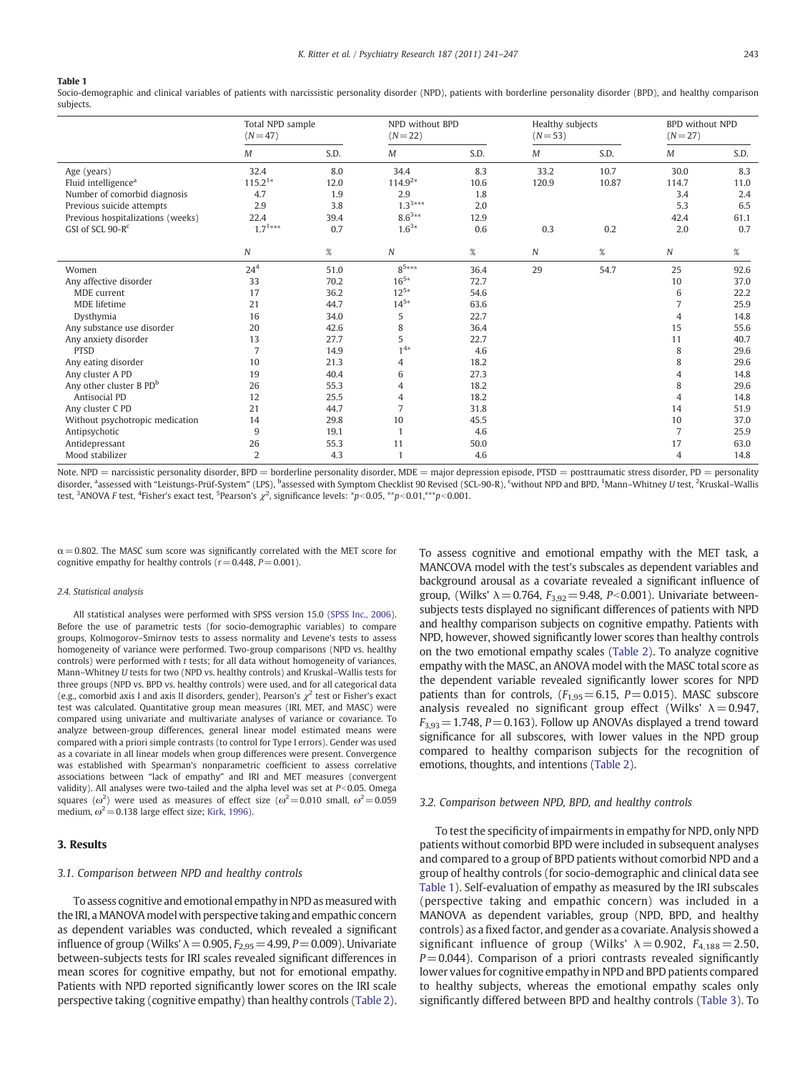#### <span id="page-2-0"></span>Table 1

Socio-demographic and clinical variables of patients with narcissistic personality disorder (NPD), patients with borderline personality disorder (BPD), and healthy comparison subjects.

|                                     | Total NPD sample<br>$(N = 47)$ |      | NPD without BPD<br>$(N = 22)$ |      | Healthy subjects<br>$(N = 53)$ |       | <b>BPD</b> without NPD<br>$(N = 27)$ |      |
|-------------------------------------|--------------------------------|------|-------------------------------|------|--------------------------------|-------|--------------------------------------|------|
|                                     | $\cal M$                       | S.D. | M                             | S.D. | М                              | S.D.  | M                                    | S.D. |
| Age (years)                         | 32.4                           | 8.0  | 34.4                          | 8.3  | 33.2                           | 10.7  | 30.0                                 | 8.3  |
| Fluid intelligence <sup>a</sup>     | $115.2^{1*}$                   | 12.0 | $114.9^{2*}$                  | 10.6 | 120.9                          | 10.87 | 114.7                                | 11.0 |
| Number of comorbid diagnosis        | 4.7                            | 1.9  | 2.9                           | 1.8  |                                |       | 3.4                                  | 2.4  |
| Previous suicide attempts           | 2.9                            | 3.8  | $1.3^{3***}$                  | 2.0  |                                |       | 5.3                                  | 6.5  |
| Previous hospitalizations (weeks)   | 22.4                           | 39.4 | $8.6^{3**}$                   | 12.9 |                                |       | 42.4                                 | 61.1 |
| GSI of SCL 90-R <sup>c</sup>        | $1.7^{1***}$                   | 0.7  | $1.6^{3*}$                    | 0.6  | 0.3                            | 0.2   | 2.0                                  | 0.7  |
|                                     | Ν                              | %    | $\boldsymbol{N}$              | $\%$ | N                              | $\%$  | Ν                                    | $\%$ |
| Women                               | 24 <sup>4</sup>                | 51.0 | $8^{5***}$                    | 36.4 | 29                             | 54.7  | 25                                   | 92.6 |
| Any affective disorder              | 33                             | 70.2 | $16^{5*}$                     | 72.7 |                                |       | 10                                   | 37.0 |
| MDE current                         | 17                             | 36.2 | $12^{5*}$                     | 54.6 |                                |       | 6                                    | 22.2 |
| <b>MDE</b> lifetime                 | 21                             | 44.7 | $14^{5*}$                     | 63.6 |                                |       | $\overline{7}$                       | 25.9 |
| Dysthymia                           | 16                             | 34.0 | 5                             | 22.7 |                                |       | 4                                    | 14.8 |
| Any substance use disorder          | 20                             | 42.6 | 8                             | 36.4 |                                |       | 15                                   | 55.6 |
| Any anxiety disorder                | 13                             | 27.7 | 5                             | 22.7 |                                |       | 11                                   | 40.7 |
| <b>PTSD</b>                         | $\overline{7}$                 | 14.9 | $1^{4*}$                      | 4.6  |                                |       | 8                                    | 29.6 |
| Any eating disorder                 | 10                             | 21.3 | 4                             | 18.2 |                                |       | 8                                    | 29.6 |
| Any cluster A PD                    | 19                             | 40.4 | 6                             | 27.3 |                                |       | 4                                    | 14.8 |
| Any other cluster B PD <sup>b</sup> | 26                             | 55.3 | 4                             | 18.2 |                                |       | 8                                    | 29.6 |
| Antisocial PD                       | 12                             | 25.5 | 4                             | 18.2 |                                |       | $\overline{4}$                       | 14.8 |
| Any cluster C PD                    | 21                             | 44.7 | $\overline{7}$                | 31.8 |                                |       | 14                                   | 51.9 |
| Without psychotropic medication     | 14                             | 29.8 | 10                            | 45.5 |                                |       | 10                                   | 37.0 |
| Antipsychotic                       | 9                              | 19.1 | $\mathbf{1}$                  | 4.6  |                                |       | $\overline{7}$                       | 25.9 |
| Antidepressant                      | 26                             | 55.3 | 11                            | 50.0 |                                |       | 17                                   | 63.0 |
| Mood stabilizer                     | $\overline{2}$                 | 4.3  | $\mathbf{1}$                  | 4.6  |                                |       | 4                                    | 14.8 |

Note. NPD = narcissistic personality disorder, BPD = borderline personality disorder, MDE = major depression episode, PTSD = posttraumatic stress disorder, PD = personality disorder, <sup>a</sup>assessed with "Leistungs-Prüf-System" (LPS), <sup>b</sup>assessed with Symptom Checklist 90 Revised (SCL-90-R), <sup>c</sup>without NPD and BPD, <sup>1</sup>Mann–Whitney U test, <sup>2</sup>Kruskal–Wallis test,  $3$ ANOVA F test,  $4$ Fisher's exact test,  $5$ Pearson's  $\chi^2$ , significance levels:  $*p<0.05$ ,  $**p<0.01$ , $**p<0.001$ .

 $\alpha$  = 0.802. The MASC sum score was significantly correlated with the MET score for cognitive empathy for healthy controls ( $r = 0.448$ ,  $P = 0.001$ ).

#### 2.4. Statistical analysis

All statistical analyses were performed with SPSS version 15.0 ([SPSS Inc., 2006](#page-6-0)). Before the use of parametric tests (for socio-demographic variables) to compare groups, Kolmogorov–Smirnov tests to assess normality and Levene's tests to assess homogeneity of variance were performed. Two-group comparisons (NPD vs. healthy controls) were performed with t tests; for all data without homogeneity of variances, Mann–Whitney U tests for two (NPD vs. healthy controls) and Kruskal–Wallis tests for three groups (NPD vs. BPD vs. healthy controls) were used, and for all categorical data (e.g., comorbid axis I and axis II disorders, gender), Pearson's  $\chi^2$  test or Fisher's exact test was calculated. Quantitative group mean measures (IRI, MET, and MASC) were compared using univariate and multivariate analyses of variance or covariance. To analyze between-group differences, general linear model estimated means were compared with a priori simple contrasts (to control for Type I errors). Gender was used as a covariate in all linear models when group differences were present. Convergence was established with Spearman's nonparametric coefficient to assess correlative associations between "lack of empathy" and IRI and MET measures (convergent validity). All analyses were two-tailed and the alpha level was set at  $P<0.05$ . Omega squares ( $\omega^2$ ) were used as measures of effect size ( $\omega^2$  = 0.010 small,  $\omega^2$  = 0.059 medium,  $\omega^2$  = 0.138 large effect size; [Kirk, 1996\)](#page-6-0).

#### 3. Results

# 3.1. Comparison between NPD and healthy controls

To assess cognitive and emotional empathy in NPD as measured with the IRI, a MANOVA model with perspective taking and empathic concern as dependent variables was conducted, which revealed a significant influence of group (Wilks'  $\lambda = 0.905$ ,  $F_{2.95} = 4.99$ ,  $P = 0.009$ ). Univariate between-subjects tests for IRI scales revealed significant differences in mean scores for cognitive empathy, but not for emotional empathy. Patients with NPD reported significantly lower scores on the IRI scale perspective taking (cognitive empathy) than healthy controls [\(Table 2](#page-3-0)). To assess cognitive and emotional empathy with the MET task, a MANCOVA model with the test's subscales as dependent variables and background arousal as a covariate revealed a significant influence of group, (Wilks'  $\lambda = 0.764$ ,  $F_{3.92} = 9.48$ , P<0.001). Univariate betweensubjects tests displayed no significant differences of patients with NPD and healthy comparison subjects on cognitive empathy. Patients with NPD, however, showed significantly lower scores than healthy controls on the two emotional empathy scales ([Table 2\)](#page-3-0). To analyze cognitive empathy with the MASC, an ANOVA model with the MASC total score as the dependent variable revealed significantly lower scores for NPD patients than for controls,  $(F_{1,95}=6.15, P=0.015)$ . MASC subscore analysis revealed no significant group effect (Wilks'  $\lambda = 0.947$ ,  $F_{3,93}=1.748$ ,  $P=0.163$ ). Follow up ANOVAs displayed a trend toward significance for all subscores, with lower values in the NPD group compared to healthy comparison subjects for the recognition of emotions, thoughts, and intentions [\(Table 2\)](#page-3-0).

### 3.2. Comparison between NPD, BPD, and healthy controls

To test the specificity of impairments in empathy for NPD, only NPD patients without comorbid BPD were included in subsequent analyses and compared to a group of BPD patients without comorbid NPD and a group of healthy controls (for socio-demographic and clinical data see Table 1). Self-evaluation of empathy as measured by the IRI subscales (perspective taking and empathic concern) was included in a MANOVA as dependent variables, group (NPD, BPD, and healthy controls) as a fixed factor, and gender as a covariate. Analysis showed a significant influence of group (Wilks'  $\lambda = 0.902$ ,  $F_{4.188} = 2.50$ ,  $P = 0.044$ ). Comparison of a priori contrasts revealed significantly lower values for cognitive empathy in NPD and BPD patients compared to healthy subjects, whereas the emotional empathy scales only significantly differed between BPD and healthy controls ([Table 3](#page-3-0)). To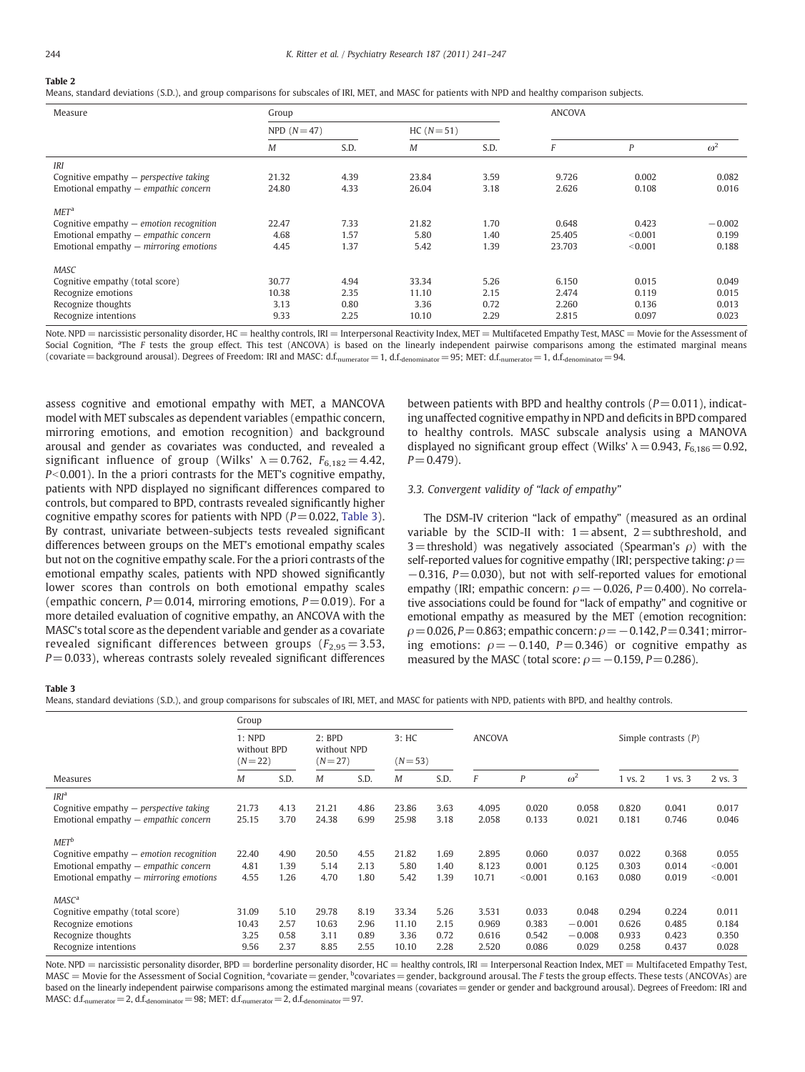# <span id="page-3-0"></span>Table 2

Means, standard deviations (S.D.), and group comparisons for subscales of IRI, MET, and MASC for patients with NPD and healthy comparison subjects.

| Measure                                                                                                                                           | Group                 |                      |                       |                      |                           |                             |                            |
|---------------------------------------------------------------------------------------------------------------------------------------------------|-----------------------|----------------------|-----------------------|----------------------|---------------------------|-----------------------------|----------------------------|
|                                                                                                                                                   | NPD $(N=47)$          |                      | $HC (N = 51)$         |                      |                           |                             |                            |
|                                                                                                                                                   | М                     | S.D.                 | М                     | S.D.                 |                           | P                           | $\omega^2$                 |
| <b>IRI</b>                                                                                                                                        |                       |                      |                       |                      |                           |                             |                            |
| Cognitive empathy $-$ perspective taking                                                                                                          | 21.32                 | 4.39                 | 23.84                 | 3.59                 | 9.726                     | 0.002                       | 0.082                      |
| Emotional empathy - empathic concern                                                                                                              | 24.80                 | 4.33                 | 26.04                 | 3.18                 | 2.626                     | 0.108                       | 0.016                      |
| MET <sup>a</sup><br>Cognitive empathy $-$ emotion recognition<br>Emotional empathy - empathic concern<br>Emotional empathy $-$ mirroring emotions | 22.47<br>4.68<br>4.45 | 7.33<br>1.57<br>1.37 | 21.82<br>5.80<br>5.42 | 1.70<br>1.40<br>1.39 | 0.648<br>25.405<br>23.703 | 0.423<br>< 0.001<br>< 0.001 | $-0.002$<br>0.199<br>0.188 |
| <b>MASC</b>                                                                                                                                       |                       |                      |                       |                      |                           |                             |                            |
| Cognitive empathy (total score)                                                                                                                   | 30.77                 | 4.94                 | 33.34                 | 5.26                 | 6.150                     | 0.015                       | 0.049                      |
| Recognize emotions                                                                                                                                | 10.38                 | 2.35                 | 11.10                 | 2.15                 | 2.474                     | 0.119                       | 0.015                      |
| Recognize thoughts                                                                                                                                | 3.13                  | 0.80                 | 3.36                  | 0.72                 | 2.260                     | 0.136                       | 0.013                      |
| Recognize intentions                                                                                                                              | 9.33                  | 2.25                 | 10.10                 | 2.29                 | 2.815                     | 0.097                       | 0.023                      |

Note. NPD = narcissistic personality disorder, HC = healthy controls, IRI = Interpersonal Reactivity Index, MET = Multifaceted Empathy Test, MASC = Movie for the Assessment of Social Cognition, <sup>a</sup>The F tests the group effect. This test (ANCOVA) is based on the linearly independent pairwise comparisons among the estimated marginal means (covariate = background arousal). Degrees of Freedom: IRI and MASC: d.f.<sub>numerator</sub> = 1, d.f.<sub>denominator</sub> = 95; MET: d.f.<sub>numerator</sub> = 1, d.f.<sub>denominator</sub> = 94.

assess cognitive and emotional empathy with MET, a MANCOVA model with MET subscales as dependent variables (empathic concern, mirroring emotions, and emotion recognition) and background arousal and gender as covariates was conducted, and revealed a significant influence of group (Wilks'  $\lambda = 0.762$ ,  $F_{6.182} = 4.42$ ,  $P<0.001$ ). In the a priori contrasts for the MET's cognitive empathy, patients with NPD displayed no significant differences compared to controls, but compared to BPD, contrasts revealed significantly higher cognitive empathy scores for patients with NPD ( $P = 0.022$ , Table 3). By contrast, univariate between-subjects tests revealed significant differences between groups on the MET's emotional empathy scales but not on the cognitive empathy scale. For the a priori contrasts of the emotional empathy scales, patients with NPD showed significantly lower scores than controls on both emotional empathy scales (empathic concern,  $P = 0.014$ , mirroring emotions,  $P = 0.019$ ). For a more detailed evaluation of cognitive empathy, an ANCOVA with the MASC's total score as the dependent variable and gender as a covariate revealed significant differences between groups ( $F_{2,95}=3.53$ ,  $P = 0.033$ ), whereas contrasts solely revealed significant differences between patients with BPD and healthy controls ( $P = 0.011$ ), indicating unaffected cognitive empathy in NPD and deficits in BPD compared to healthy controls. MASC subscale analysis using a MANOVA displayed no significant group effect (Wilks'  $\lambda = 0.943$ ,  $F_{6,186} = 0.92$ ,  $P = 0.479$ ).

# 3.3. Convergent validity of "lack of empathy"

The DSM-IV criterion "lack of empathy" (measured as an ordinal variable by the SCID-II with:  $1=$  absent,  $2=$  subthreshold, and 3 = threshold) was negatively associated (Spearman's  $\rho$ ) with the self-reported values for cognitive empathy (IRI; perspective taking:  $\rho$  =  $-0.316$ , P=0.030), but not with self-reported values for emotional empathy (IRI; empathic concern:  $\rho = -0.026$ ,  $P = 0.400$ ). No correlative associations could be found for "lack of empathy" and cognitive or emotional empathy as measured by the MET (emotion recognition:  $\rho$  = 0.026, P = 0.863; empathic concern:  $\rho$  = -0.142, P = 0.341; mirroring emotions:  $\rho = -0.140$ ,  $P = 0.346$ ) or cognitive empathy as measured by the MASC (total score:  $\rho = -0.159$ ,  $P = 0.286$ ).

# Table 3

Means, standard deviations (S.D.), and group comparisons for subscales of IRI, MET, and MASC for patients with NPD, patients with BPD, and healthy controls.

|                                           | Group                                 |      |                                       |      |                    |      |               |                  |            |                        |                    |         |
|-------------------------------------------|---------------------------------------|------|---------------------------------------|------|--------------------|------|---------------|------------------|------------|------------------------|--------------------|---------|
|                                           | $1:$ NPD<br>without BPD<br>$(N = 22)$ |      | $2:$ BPD<br>without NPD<br>$(N = 27)$ |      | 3:HC<br>$(N = 53)$ |      | <b>ANCOVA</b> |                  |            | Simple contrasts $(P)$ |                    |         |
| Measures                                  | М                                     | S.D. | М                                     | S.D. | M                  | S.D. | F             | $\boldsymbol{P}$ | $\omega^2$ | $1$ vs. $2$            | $1 \text{ vs. } 3$ | 2 vs. 3 |
| IRI <sup>a</sup>                          |                                       |      |                                       |      |                    |      |               |                  |            |                        |                    |         |
| Cognitive empathy $-$ perspective taking  | 21.73                                 | 4.13 | 21.21                                 | 4.86 | 23.86              | 3.63 | 4.095         | 0.020            | 0.058      | 0.820                  | 0.041              | 0.017   |
| Emotional empathy $-$ empathic concern    | 25.15                                 | 3.70 | 24.38                                 | 6.99 | 25.98              | 3.18 | 2.058         | 0.133            | 0.021      | 0.181                  | 0.746              | 0.046   |
| MET <sup>b</sup>                          |                                       |      |                                       |      |                    |      |               |                  |            |                        |                    |         |
| Cognitive empathy $-$ emotion recognition | 22.40                                 | 4.90 | 20.50                                 | 4.55 | 21.82              | 1.69 | 2.895         | 0.060            | 0.037      | 0.022                  | 0.368              | 0.055   |
| Emotional empathy $-$ empathic concern    | 4.81                                  | 1.39 | 5.14                                  | 2.13 | 5.80               | 1.40 | 8.123         | 0.001            | 0.125      | 0.303                  | 0.014              | < 0.001 |
| Emotional empathy $-$ mirroring emotions  | 4.55                                  | 1.26 | 4.70                                  | 1.80 | 5.42               | 1.39 | 10.71         | < 0.001          | 0.163      | 0.080                  | 0.019              | < 0.001 |
| MASC <sup>a</sup>                         |                                       |      |                                       |      |                    |      |               |                  |            |                        |                    |         |
| Cognitive empathy (total score)           | 31.09                                 | 5.10 | 29.78                                 | 8.19 | 33.34              | 5.26 | 3.531         | 0.033            | 0.048      | 0.294                  | 0.224              | 0.011   |
| Recognize emotions                        | 10.43                                 | 2.57 | 10.63                                 | 2.96 | 11.10              | 2.15 | 0.969         | 0.383            | $-0.001$   | 0.626                  | 0.485              | 0.184   |
| Recognize thoughts                        | 3.25                                  | 0.58 | 3.11                                  | 0.89 | 3.36               | 0.72 | 0.616         | 0.542            | $-0.008$   | 0.933                  | 0.423              | 0.350   |
| Recognize intentions                      | 9.56                                  | 2.37 | 8.85                                  | 2.55 | 10.10              | 2.28 | 2.520         | 0.086            | 0.029      | 0.258                  | 0.437              | 0.028   |

Note. NPD = narcissistic personality disorder, BPD = borderline personality disorder, HC = healthy controls, IRI = Interpersonal Reaction Index, MET = Multifaceted Empathy Test, MASC = Movie for the Assessment of Social Cognition, <sup>a</sup>covariate = gender, <sup>b</sup>covariates = gender, background arousal. The F tests the group effects. These tests (ANCOVAs) are based on the linearly independent pairwise comparisons among the estimated marginal means (covariates = gender or gender and background arousal). Degrees of Freedom: IRI and MASC: d.f.<sub>numerator</sub> = 2, d.f.<sub>denominator</sub> = 98; MET: d.f.<sub>numerator</sub> = 2, d.f.<sub>denominator</sub> = 97.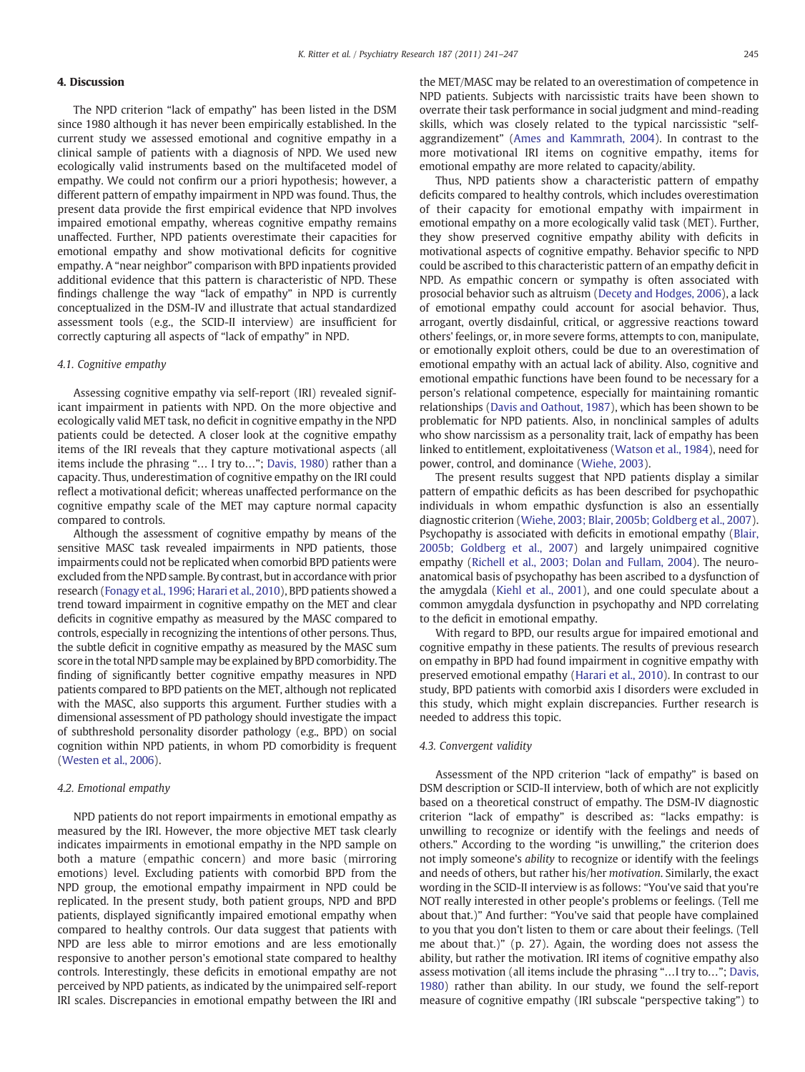# 4. Discussion

The NPD criterion "lack of empathy" has been listed in the DSM since 1980 although it has never been empirically established. In the current study we assessed emotional and cognitive empathy in a clinical sample of patients with a diagnosis of NPD. We used new ecologically valid instruments based on the multifaceted model of empathy. We could not confirm our a priori hypothesis; however, a different pattern of empathy impairment in NPD was found. Thus, the present data provide the first empirical evidence that NPD involves impaired emotional empathy, whereas cognitive empathy remains unaffected. Further, NPD patients overestimate their capacities for emotional empathy and show motivational deficits for cognitive empathy. A "near neighbor" comparison with BPD inpatients provided additional evidence that this pattern is characteristic of NPD. These findings challenge the way "lack of empathy" in NPD is currently conceptualized in the DSM-IV and illustrate that actual standardized assessment tools (e.g., the SCID-II interview) are insufficient for correctly capturing all aspects of "lack of empathy" in NPD.

# 4.1. Cognitive empathy

Assessing cognitive empathy via self-report (IRI) revealed significant impairment in patients with NPD. On the more objective and ecologically valid MET task, no deficit in cognitive empathy in the NPD patients could be detected. A closer look at the cognitive empathy items of the IRI reveals that they capture motivational aspects (all items include the phrasing "… I try to…"; [Davis, 1980\)](#page-5-0) rather than a capacity. Thus, underestimation of cognitive empathy on the IRI could reflect a motivational deficit; whereas unaffected performance on the cognitive empathy scale of the MET may capture normal capacity compared to controls.

Although the assessment of cognitive empathy by means of the sensitive MASC task revealed impairments in NPD patients, those impairments could not be replicated when comorbid BPD patients were excluded from the NPD sample. By contrast, but in accordance with prior research ([Fonagy et al., 1996; Harari et al., 2010](#page-5-0)), BPD patients showed a trend toward impairment in cognitive empathy on the MET and clear deficits in cognitive empathy as measured by the MASC compared to controls, especially in recognizing the intentions of other persons. Thus, the subtle deficit in cognitive empathy as measured by the MASC sum score in the total NPD sample may be explained by BPD comorbidity. The finding of significantly better cognitive empathy measures in NPD patients compared to BPD patients on the MET, although not replicated with the MASC, also supports this argument. Further studies with a dimensional assessment of PD pathology should investigate the impact of subthreshold personality disorder pathology (e.g., BPD) on social cognition within NPD patients, in whom PD comorbidity is frequent [\(Westen et al., 2006](#page-6-0)).

## 4.2. Emotional empathy

NPD patients do not report impairments in emotional empathy as measured by the IRI. However, the more objective MET task clearly indicates impairments in emotional empathy in the NPD sample on both a mature (empathic concern) and more basic (mirroring emotions) level. Excluding patients with comorbid BPD from the NPD group, the emotional empathy impairment in NPD could be replicated. In the present study, both patient groups, NPD and BPD patients, displayed significantly impaired emotional empathy when compared to healthy controls. Our data suggest that patients with NPD are less able to mirror emotions and are less emotionally responsive to another person's emotional state compared to healthy controls. Interestingly, these deficits in emotional empathy are not perceived by NPD patients, as indicated by the unimpaired self-report IRI scales. Discrepancies in emotional empathy between the IRI and

the MET/MASC may be related to an overestimation of competence in NPD patients. Subjects with narcissistic traits have been shown to overrate their task performance in social judgment and mind-reading skills, which was closely related to the typical narcissistic "selfaggrandizement" [\(Ames and Kammrath, 2004\)](#page-5-0). In contrast to the more motivational IRI items on cognitive empathy, items for emotional empathy are more related to capacity/ability.

Thus, NPD patients show a characteristic pattern of empathy deficits compared to healthy controls, which includes overestimation of their capacity for emotional empathy with impairment in emotional empathy on a more ecologically valid task (MET). Further, they show preserved cognitive empathy ability with deficits in motivational aspects of cognitive empathy. Behavior specific to NPD could be ascribed to this characteristic pattern of an empathy deficit in NPD. As empathic concern or sympathy is often associated with prosocial behavior such as altruism ([Decety and Hodges, 2006\)](#page-5-0), a lack of emotional empathy could account for asocial behavior. Thus, arrogant, overtly disdainful, critical, or aggressive reactions toward others' feelings, or, in more severe forms, attempts to con, manipulate, or emotionally exploit others, could be due to an overestimation of emotional empathy with an actual lack of ability. Also, cognitive and emotional empathic functions have been found to be necessary for a person's relational competence, especially for maintaining romantic relationships [\(Davis and Oathout, 1987\)](#page-5-0), which has been shown to be problematic for NPD patients. Also, in nonclinical samples of adults who show narcissism as a personality trait, lack of empathy has been linked to entitlement, exploitativeness [\(Watson et al., 1984](#page-6-0)), need for power, control, and dominance [\(Wiehe, 2003\)](#page-6-0).

The present results suggest that NPD patients display a similar pattern of empathic deficits as has been described for psychopathic individuals in whom empathic dysfunction is also an essentially diagnostic criterion ([Wiehe, 2003; Blair, 2005b; Goldberg et al., 2007](#page-6-0)). Psychopathy is associated with deficits in emotional empathy [\(Blair,](#page-5-0) [2005b; Goldberg et al., 2007](#page-5-0)) and largely unimpaired cognitive empathy [\(Richell et al., 2003; Dolan and Fullam, 2004](#page-6-0)). The neuroanatomical basis of psychopathy has been ascribed to a dysfunction of the amygdala [\(Kiehl et al., 2001](#page-6-0)), and one could speculate about a common amygdala dysfunction in psychopathy and NPD correlating to the deficit in emotional empathy.

With regard to BPD, our results argue for impaired emotional and cognitive empathy in these patients. The results of previous research on empathy in BPD had found impairment in cognitive empathy with preserved emotional empathy ([Harari et al., 2010\)](#page-5-0). In contrast to our study, BPD patients with comorbid axis I disorders were excluded in this study, which might explain discrepancies. Further research is needed to address this topic.

## 4.3. Convergent validity

Assessment of the NPD criterion "lack of empathy" is based on DSM description or SCID-II interview, both of which are not explicitly based on a theoretical construct of empathy. The DSM-IV diagnostic criterion "lack of empathy" is described as: "lacks empathy: is unwilling to recognize or identify with the feelings and needs of others." According to the wording "is unwilling," the criterion does not imply someone's ability to recognize or identify with the feelings and needs of others, but rather his/her motivation. Similarly, the exact wording in the SCID-II interview is as follows: "You've said that you're NOT really interested in other people's problems or feelings. (Tell me about that.)" And further: "You've said that people have complained to you that you don't listen to them or care about their feelings. (Tell me about that.)" (p. 27). Again, the wording does not assess the ability, but rather the motivation. IRI items of cognitive empathy also assess motivation (all items include the phrasing "…I try to…"; [Davis,](#page-5-0) [1980\)](#page-5-0) rather than ability. In our study, we found the self-report measure of cognitive empathy (IRI subscale "perspective taking") to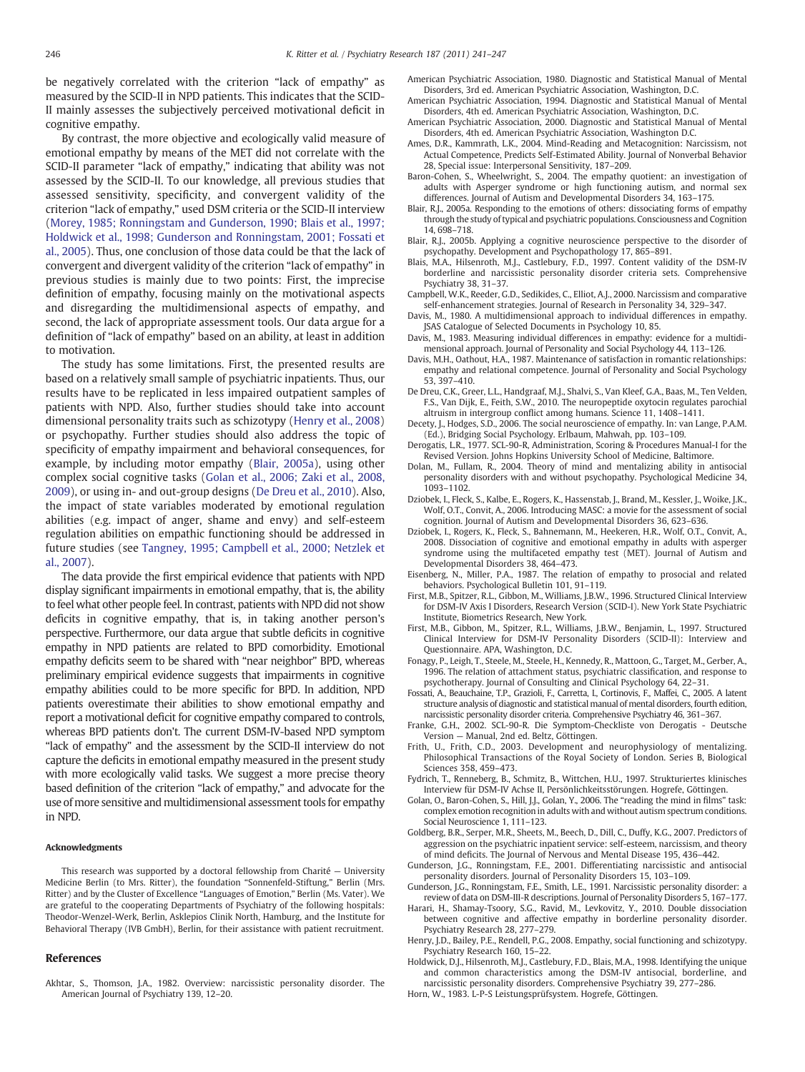<span id="page-5-0"></span>be negatively correlated with the criterion "lack of empathy" as measured by the SCID-II in NPD patients. This indicates that the SCID-II mainly assesses the subjectively perceived motivational deficit in cognitive empathy.

By contrast, the more objective and ecologically valid measure of emotional empathy by means of the MET did not correlate with the SCID-II parameter "lack of empathy," indicating that ability was not assessed by the SCID-II. To our knowledge, all previous studies that assessed sensitivity, specificity, and convergent validity of the criterion "lack of empathy," used DSM criteria or the SCID-II interview [\(Morey, 1985; Ronningstam and Gunderson, 1990; Blais et al., 1997;](#page-6-0) [Holdwick et al., 1998; Gunderson and Ronningstam, 2001; Fossati et](#page-6-0) [al., 2005](#page-6-0)). Thus, one conclusion of those data could be that the lack of convergent and divergent validity of the criterion "lack of empathy" in previous studies is mainly due to two points: First, the imprecise definition of empathy, focusing mainly on the motivational aspects and disregarding the multidimensional aspects of empathy, and second, the lack of appropriate assessment tools. Our data argue for a definition of "lack of empathy" based on an ability, at least in addition to motivation.

The study has some limitations. First, the presented results are based on a relatively small sample of psychiatric inpatients. Thus, our results have to be replicated in less impaired outpatient samples of patients with NPD. Also, further studies should take into account dimensional personality traits such as schizotypy (Henry et al., 2008) or psychopathy. Further studies should also address the topic of specificity of empathy impairment and behavioral consequences, for example, by including motor empathy (Blair, 2005a), using other complex social cognitive tasks (Golan et al., 2006; Zaki et al., 2008, 2009), or using in- and out-group designs (De Dreu et al., 2010). Also, the impact of state variables moderated by emotional regulation abilities (e.g. impact of anger, shame and envy) and self-esteem regulation abilities on empathic functioning should be addressed in future studies (see Tangney, 1995; Campbell et al., 2000; Netzlek et al., 2007).

The data provide the first empirical evidence that patients with NPD display significant impairments in emotional empathy, that is, the ability to feel what other people feel. In contrast, patients with NPD did not show deficits in cognitive empathy, that is, in taking another person's perspective. Furthermore, our data argue that subtle deficits in cognitive empathy in NPD patients are related to BPD comorbidity. Emotional empathy deficits seem to be shared with "near neighbor" BPD, whereas preliminary empirical evidence suggests that impairments in cognitive empathy abilities could to be more specific for BPD. In addition, NPD patients overestimate their abilities to show emotional empathy and report a motivational deficit for cognitive empathy compared to controls, whereas BPD patients don't. The current DSM-IV-based NPD symptom "lack of empathy" and the assessment by the SCID-II interview do not capture the deficits in emotional empathy measured in the present study with more ecologically valid tasks. We suggest a more precise theory based definition of the criterion "lack of empathy," and advocate for the use of more sensitive and multidimensional assessment tools for empathy in NPD.

### Acknowledgments

This research was supported by a doctoral fellowship from Charité — University Medicine Berlin (to Mrs. Ritter), the foundation "Sonnenfeld-Stiftung," Berlin (Mrs. Ritter) and by the Cluster of Excellence "Languages of Emotion," Berlin (Ms. Vater). We are grateful to the cooperating Departments of Psychiatry of the following hospitals: Theodor-Wenzel-Werk, Berlin, Asklepios Clinik North, Hamburg, and the Institute for Behavioral Therapy (IVB GmbH), Berlin, for their assistance with patient recruitment.

#### References

Akhtar, S., Thomson, J.A., 1982. Overview: narcissistic personality disorder. The American Journal of Psychiatry 139, 12–20.

- American Psychiatric Association, 1980. Diagnostic and Statistical Manual of Mental Disorders, 3rd ed. American Psychiatric Association, Washington, D.C.
- American Psychiatric Association, 1994. Diagnostic and Statistical Manual of Mental Disorders, 4th ed. American Psychiatric Association, Washington, D.C. American Psychiatric Association, 2000. Diagnostic and Statistical Manual of Mental
- Disorders, 4th ed. American Psychiatric Association, Washington D.C.
- Ames, D.R., Kammrath, L.K., 2004. Mind-Reading and Metacognition: Narcissism, not Actual Competence, Predicts Self-Estimated Ability. Journal of Nonverbal Behavior 28, Special issue: Interpersonal Sensitivity, 187–209.
- Baron-Cohen, S., Wheelwright, S., 2004. The empathy quotient: an investigation of adults with Asperger syndrome or high functioning autism, and normal sex differences. Journal of Autism and Developmental Disorders 34, 163–175.
- Blair, R.J., 2005a. Responding to the emotions of others: dissociating forms of empathy through the study of typical and psychiatric populations. Consciousness and Cognition 14, 698–718.
- Blair, R.J., 2005b. Applying a cognitive neuroscience perspective to the disorder of
- psychopathy. Development and Psychopathology 17, 865–891. Blais, M.A., Hilsenroth, M.J., Castlebury, F.D., 1997. Content validity of the DSM-IV borderline and narcissistic personality disorder criteria sets. Comprehensive Psychiatry 38, 31–37.
- Campbell, W.K., Reeder, G.D., Sedikides, C., Elliot, A.J., 2000. Narcissism and comparative self-enhancement strategies. Journal of Research in Personality 34, 329–347.
- Davis, M., 1980. A multidimensional approach to individual differences in empathy. JSAS Catalogue of Selected Documents in Psychology 10, 85.
- Davis, M., 1983. Measuring individual differences in empathy: evidence for a multidimensional approach. Journal of Personality and Social Psychology 44, 113–126.
- Davis, M.H., Oathout, H.A., 1987. Maintenance of satisfaction in romantic relationships: empathy and relational competence. Journal of Personality and Social Psychology 53, 397–410.
- De Dreu, C.K., Greer, L.L., Handgraaf, M.J., Shalvi, S., Van Kleef, G.A., Baas, M., Ten Velden, F.S., Van Dijk, E., Feith, S.W., 2010. The neuropeptide oxytocin regulates parochial altruism in intergroup conflict among humans. Science 11, 1408–1411.
- Decety, J., Hodges, S.D., 2006. The social neuroscience of empathy. In: van Lange, P.A.M. (Ed.), Bridging Social Psychology. Erlbaum, Mahwah, pp. 103–109.
- Derogatis, L.R., 1977. SCL-90-R, Administration, Scoring & Procedures Manual-I for the Revised Version. Johns Hopkins University School of Medicine, Baltimore.
- Dolan, M., Fullam, R., 2004. Theory of mind and mentalizing ability in antisocial personality disorders with and without psychopathy. Psychological Medicine 34, 1093–1102.
- Dziobek, I., Fleck, S., Kalbe, E., Rogers, K., Hassenstab, J., Brand, M., Kessler, J., Woike, J.K. Wolf, O.T., Convit, A., 2006. Introducing MASC: a movie for the assessment of social cognition. Journal of Autism and Developmental Disorders 36, 623–636.
- Dziobek, I., Rogers, K., Fleck, S., Bahnemann, M., Heekeren, H.R., Wolf, O.T., Convit, A., 2008. Dissociation of cognitive and emotional empathy in adults with asperger syndrome using the multifaceted empathy test (MET). Journal of Autism and Developmental Disorders 38, 464–473.
- Eisenberg, N., Miller, P.A., 1987. The relation of empathy to prosocial and related behaviors. Psychological Bulletin 101, 91–119.
- First, M.B., Spitzer, R.L., Gibbon, M., Williams, J.B.W., 1996. Structured Clinical Interview for DSM-IV Axis I Disorders, Research Version (SCID-I). New York State Psychiatric Institute, Biometrics Research, New York.
- First, M.B., Gibbon, M., Spitzer, R.L., Williams, J.B.W., Benjamin, L., 1997. Structured Clinical Interview for DSM-IV Personality Disorders (SCID-II): Interview and Questionnaire. APA, Washington, D.C.
- Fonagy, P., Leigh, T., Steele, M., Steele, H., Kennedy, R., Mattoon, G., Target, M., Gerber, A., 1996. The relation of attachment status, psychiatric classification, and response to psychotherapy. Journal of Consulting and Clinical Psychology 64, 22–31.
- Fossati, A., Beauchaine, T.P., Grazioli, F., Carretta, I., Cortinovis, F., Maffei, C., 2005. A latent structure analysis of diagnostic and statistical manual of mental disorders, fourth edition, narcissistic personality disorder criteria. Comprehensive Psychiatry 46, 361–367.
- Franke, G.H., 2002. SCL-90-R. Die Symptom-Checkliste von Derogatis Deutsche Version — Manual, 2nd ed. Beltz, Göttingen.
- Frith, U., Frith, C.D., 2003. Development and neurophysiology of mentalizing. Philosophical Transactions of the Royal Society of London. Series B, Biological Sciences 358, 459–473.
- Fydrich, T., Renneberg, B., Schmitz, B., Wittchen, H.U., 1997. Strukturiertes klinisches Interview für DSM-IV Achse II, Persönlichkeitsstörungen. Hogrefe, Göttingen.
- Golan, O., Baron-Cohen, S., Hill, J.J., Golan, Y., 2006. The "reading the mind in films" task: complex emotion recognition in adults with and without autism spectrum conditions. Social Neuroscience 1, 111–123.
- Goldberg, B.R., Serper, M.R., Sheets, M., Beech, D., Dill, C., Duffy, K.G., 2007. Predictors of aggression on the psychiatric inpatient service: self-esteem, narcissism, and theory of mind deficits. The Journal of Nervous and Mental Disease 195, 436–442.
- Gunderson, J.G., Ronningstam, F.E., 2001. Differentiating narcissistic and antisocial personality disorders. Journal of Personality Disorders 15, 103–109.
- Gunderson, J.G., Ronningstam, F.E., Smith, L.E., 1991. Narcissistic personality disorder: a review of data on DSM-III-R descriptions. Journal of Personality Disorders 5, 167–177.
- Harari, H., Shamay-Tsoory, S.G., Ravid, M., Levkovitz, Y., 2010. Double dissociation between cognitive and affective empathy in borderline personality disorder. Psychiatry Research 28, 277–279.
- Henry, J.D., Bailey, P.E., Rendell, P.G., 2008. Empathy, social functioning and schizotypy. Psychiatry Research 160, 15–22.

Holdwick, D.J., Hilsenroth, M.J., Castlebury, F.D., Blais, M.A., 1998. Identifying the unique and common characteristics among the DSM-IV antisocial, borderline, and narcissistic personality disorders. Comprehensive Psychiatry 39, 277–286.

Horn, W., 1983. L-P-S Leistungsprüfsystem. Hogrefe, Göttingen.